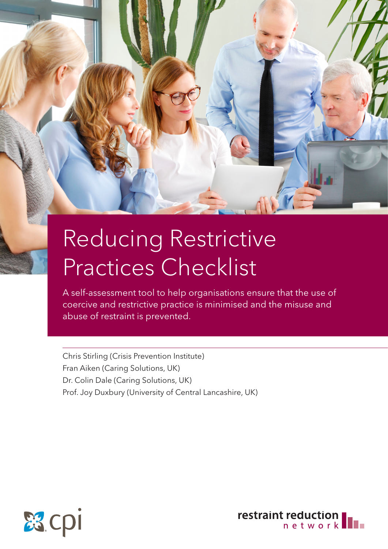# Reducing Restrictive Practices Checklist

A self-assessment tool to help organisations ensure that the use of coercive and restrictive practice is minimised and the misuse and abuse of restraint is prevented.

Chris Stirling (Crisis Prevention Institute) Fran Aiken (Caring Solutions, UK) Dr. Colin Dale (Caring Solutions, UK) Prof. Joy Duxbury (University of Central Lancashire, UK)



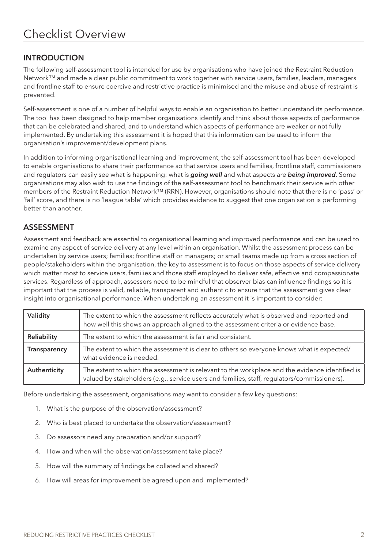### INTRODUCTION

The following self-assessment tool is intended for use by organisations who have joined the Restraint Reduction Network™ and made a clear public commitment to work together with service users, families, leaders, managers and frontline staff to ensure coercive and restrictive practice is minimised and the misuse and abuse of restraint is prevented.

Self-assessment is one of a number of helpful ways to enable an organisation to better understand its performance. The tool has been designed to help member organisations identify and think about those aspects of performance that can be celebrated and shared, and to understand which aspects of performance are weaker or not fully implemented. By undertaking this assessment it is hoped that this information can be used to inform the organisation's improvement/development plans.

In addition to informing organisational learning and improvement, the self-assessment tool has been developed to enable organisations to share their performance so that service users and families, frontline staff, commissioners and regulators can easily see what is happening: what is *going well* and what aspects are *being improved*. Some organisations may also wish to use the findings of the self-assessment tool to benchmark their service with other members of the Restraint Reduction Network™ (RRN). However, organisations should note that there is no 'pass' or 'fail' score, and there is no 'league table' which provides evidence to suggest that one organisation is performing better than another.

#### ASSESSMENT

Assessment and feedback are essential to organisational learning and improved performance and can be used to examine any aspect of service delivery at any level within an organisation. Whilst the assessment process can be undertaken by service users; families; frontline staff or managers; or small teams made up from a cross section of people/stakeholders within the organisation, the key to assessment is to focus on those aspects of service delivery which matter most to service users, families and those staff employed to deliver safe, effective and compassionate services. Regardless of approach, assessors need to be mindful that observer bias can influence findings so it is important that the process is valid, reliable, transparent and authentic to ensure that the assessment gives clear insight into organisational performance. When undertaking an assessment it is important to consider:

| Validity     | The extent to which the assessment reflects accurately what is observed and reported and<br>how well this shows an approach aligned to the assessment criteria or evidence base.              |
|--------------|-----------------------------------------------------------------------------------------------------------------------------------------------------------------------------------------------|
| Reliability  | The extent to which the assessment is fair and consistent.                                                                                                                                    |
| Transparency | The extent to which the assessment is clear to others so everyone knows what is expected/<br>what evidence is needed.                                                                         |
| Authenticity | The extent to which the assessment is relevant to the workplace and the evidence identified is<br>valued by stakeholders (e.g., service users and families, staff, regulators/commissioners). |

Before undertaking the assessment, organisations may want to consider a few key questions:

- 1. What is the purpose of the observation/assessment?
- 2. Who is best placed to undertake the observation/assessment?
- 3. Do assessors need any preparation and/or support?
- 4. How and when will the observation/assessment take place?
- 5. How will the summary of findings be collated and shared?
- 6. How will areas for improvement be agreed upon and implemented?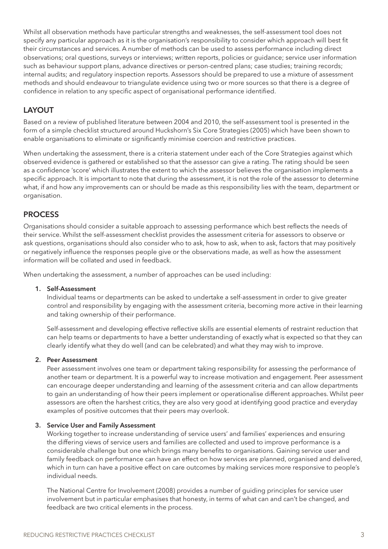Whilst all observation methods have particular strengths and weaknesses, the self-assessment tool does not specify any particular approach as it is the organisation's responsibility to consider which approach will best fit their circumstances and services. A number of methods can be used to assess performance including direct observations; oral questions, surveys or interviews; written reports, policies or guidance; service user information such as behaviour support plans, advance directives or person-centred plans; case studies; training records; internal audits; and regulatory inspection reports. Assessors should be prepared to use a mixture of assessment methods and should endeavour to triangulate evidence using two or more sources so that there is a degree of confidence in relation to any specific aspect of organisational performance identified.

#### LAYOUT

Based on a review of published literature between 2004 and 2010, the self-assessment tool is presented in the form of a simple checklist structured around Huckshorn's Six Core Strategies (2005) which have been shown to enable organisations to eliminate or significantly minimise coercion and restrictive practices.

When undertaking the assessment, there is a criteria statement under each of the Core Strategies against which observed evidence is gathered or established so that the assessor can give a rating. The rating should be seen as a confidence 'score' which illustrates the extent to which the assessor believes the organisation implements a specific approach. It is important to note that during the assessment, it is not the role of the assessor to determine what, if and how any improvements can or should be made as this responsibility lies with the team, department or organisation.

#### **PROCESS**

Organisations should consider a suitable approach to assessing performance which best reflects the needs of their service. Whilst the self-assessment checklist provides the assessment criteria for assessors to observe or ask questions, organisations should also consider who to ask, how to ask, when to ask, factors that may positively or negatively influence the responses people give or the observations made, as well as how the assessment information will be collated and used in feedback.

When undertaking the assessment, a number of approaches can be used including:

#### 1. Self-Assessment

Individual teams or departments can be asked to undertake a self-assessment in order to give greater control and responsibility by engaging with the assessment criteria, becoming more active in their learning and taking ownership of their performance.

Self-assessment and developing effective reflective skills are essential elements of restraint reduction that can help teams or departments to have a better understanding of exactly what is expected so that they can clearly identify what they do well (and can be celebrated) and what they may wish to improve.

#### 2. Peer Assessment

Peer assessment involves one team or department taking responsibility for assessing the performance of another team or department. It is a powerful way to increase motivation and engagement. Peer assessment can encourage deeper understanding and learning of the assessment criteria and can allow departments to gain an understanding of how their peers implement or operationalise different approaches. Whilst peer assessors are often the harshest critics, they are also very good at identifying good practice and everyday examples of positive outcomes that their peers may overlook.

#### 3. Service User and Family Assessment

Working together to increase understanding of service users' and families' experiences and ensuring the differing views of service users and families are collected and used to improve performance is a considerable challenge but one which brings many benefits to organisations. Gaining service user and family feedback on performance can have an effect on how services are planned, organised and delivered, which in turn can have a positive effect on care outcomes by making services more responsive to people's individual needs.

The National Centre for Involvement (2008) provides a number of guiding principles for service user involvement but in particular emphasises that honesty, in terms of what can and can't be changed, and feedback are two critical elements in the process.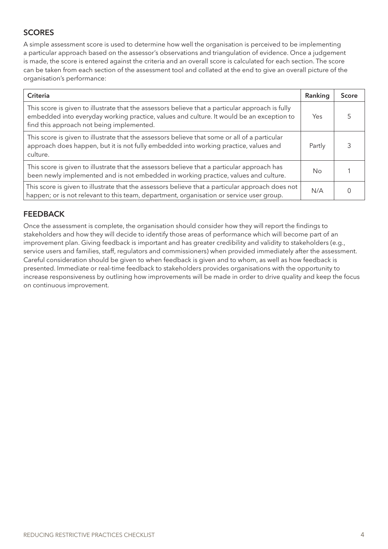## **SCORES**

A simple assessment score is used to determine how well the organisation is perceived to be implementing a particular approach based on the assessor's observations and triangulation of evidence. Once a judgement is made, the score is entered against the criteria and an overall score is calculated for each section. The score can be taken from each section of the assessment tool and collated at the end to give an overall picture of the organisation's performance:

| Criteria                                                                                                                                                                                                                                  | Ranking | <b>Score</b> |
|-------------------------------------------------------------------------------------------------------------------------------------------------------------------------------------------------------------------------------------------|---------|--------------|
| This score is given to illustrate that the assessors believe that a particular approach is fully<br>embedded into everyday working practice, values and culture. It would be an exception to<br>find this approach not being implemented. | Yes     |              |
| This score is given to illustrate that the assessors believe that some or all of a particular<br>approach does happen, but it is not fully embedded into working practice, values and<br>culture.                                         | Partly  |              |
| This score is given to illustrate that the assessors believe that a particular approach has<br>been newly implemented and is not embedded in working practice, values and culture.                                                        | No      |              |
| This score is given to illustrate that the assessors believe that a particular approach does not<br>happen; or is not relevant to this team, department, organisation or service user group.                                              | N/A     |              |

## **FEEDBACK**

Once the assessment is complete, the organisation should consider how they will report the findings to stakeholders and how they will decide to identify those areas of performance which will become part of an improvement plan. Giving feedback is important and has greater credibility and validity to stakeholders (e.g., service users and families, staff, regulators and commissioners) when provided immediately after the assessment. Careful consideration should be given to when feedback is given and to whom, as well as how feedback is presented. Immediate or real-time feedback to stakeholders provides organisations with the opportunity to increase responsiveness by outlining how improvements will be made in order to drive quality and keep the focus on continuous improvement.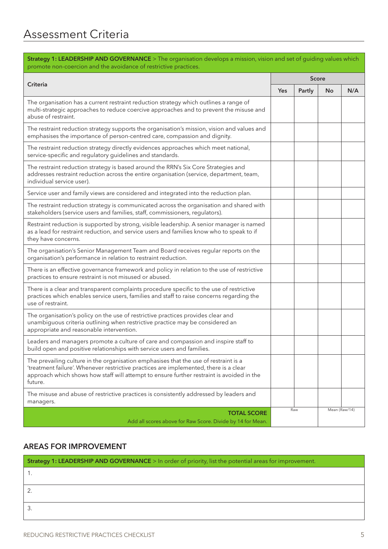| Strategy 1: LEADERSHIP AND GOVERNANCE > The organisation develops a mission, vision and set of guiding values which<br>promote non-coercion and the avoidance of restrictive practices.                                                                                               |     |              |               |     |  |
|---------------------------------------------------------------------------------------------------------------------------------------------------------------------------------------------------------------------------------------------------------------------------------------|-----|--------------|---------------|-----|--|
|                                                                                                                                                                                                                                                                                       |     | <b>Score</b> |               |     |  |
| <b>Criteria</b>                                                                                                                                                                                                                                                                       | Yes | Partly       | <b>No</b>     | N/A |  |
| The organisation has a current restraint reduction strategy which outlines a range of<br>multi-strategic approaches to reduce coercive approaches and to prevent the misuse and<br>abuse of restraint.                                                                                |     |              |               |     |  |
| The restraint reduction strategy supports the organisation's mission, vision and values and<br>emphasises the importance of person-centred care, compassion and dignity.                                                                                                              |     |              |               |     |  |
| The restraint reduction strategy directly evidences approaches which meet national,<br>service-specific and regulatory guidelines and standards.                                                                                                                                      |     |              |               |     |  |
| The restraint reduction strategy is based around the RRN's Six Core Strategies and<br>addresses restraint reduction across the entire organisation (service, department, team,<br>individual service user).                                                                           |     |              |               |     |  |
| Service user and family views are considered and integrated into the reduction plan.                                                                                                                                                                                                  |     |              |               |     |  |
| The restraint reduction strategy is communicated across the organisation and shared with<br>stakeholders (service users and families, staff, commissioners, regulators).                                                                                                              |     |              |               |     |  |
| Restraint reduction is supported by strong, visible leadership. A senior manager is named<br>as a lead for restraint reduction, and service users and families know who to speak to if<br>they have concerns.                                                                         |     |              |               |     |  |
| The organisation's Senior Management Team and Board receives regular reports on the<br>organisation's performance in relation to restraint reduction.                                                                                                                                 |     |              |               |     |  |
| There is an effective governance framework and policy in relation to the use of restrictive<br>practices to ensure restraint is not misused or abused.                                                                                                                                |     |              |               |     |  |
| There is a clear and transparent complaints procedure specific to the use of restrictive<br>practices which enables service users, families and staff to raise concerns regarding the<br>use of restraint.                                                                            |     |              |               |     |  |
| The organisation's policy on the use of restrictive practices provides clear and<br>unambiguous criteria outlining when restrictive practice may be considered an<br>appropriate and reasonable intervention.                                                                         |     |              |               |     |  |
| Leaders and managers promote a culture of care and compassion and inspire staff to<br>build open and positive relationships with service users and families.                                                                                                                          |     |              |               |     |  |
| The prevailing culture in the organisation emphasises that the use of restraint is a<br>'treatment failure'. Whenever restrictive practices are implemented, there is a clear<br>approach which shows how staff will attempt to ensure further restraint is avoided in the<br>future. |     |              |               |     |  |
| The misuse and abuse of restrictive practices is consistently addressed by leaders and<br>managers.                                                                                                                                                                                   |     |              |               |     |  |
| <b>TOTAL SCORE</b>                                                                                                                                                                                                                                                                    |     | Raw          | Mean (Raw/14) |     |  |
| Add all scores above for Raw Score. Divide by 14 for Mean.                                                                                                                                                                                                                            |     |              |               |     |  |

| Strategy 1: LEADERSHIP AND GOVERNANCE > In order of priority, list the potential areas for improvement. |  |
|---------------------------------------------------------------------------------------------------------|--|
|                                                                                                         |  |
|                                                                                                         |  |
|                                                                                                         |  |
|                                                                                                         |  |
|                                                                                                         |  |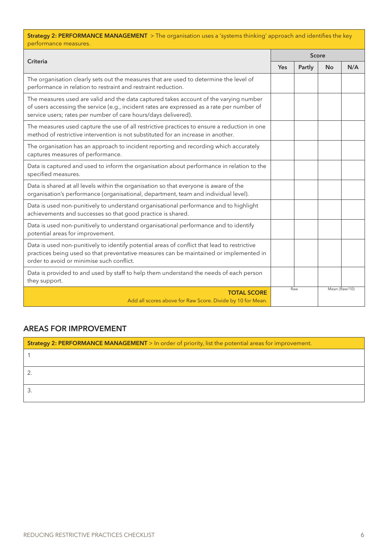| <b>Strategy 2: PERFORMANCE MANAGEMENT</b> > The organisation uses a 'systems thinking' approach and identifies the key<br>performance measures.                                                                                                       |     |        |               |     |  |
|-------------------------------------------------------------------------------------------------------------------------------------------------------------------------------------------------------------------------------------------------------|-----|--------|---------------|-----|--|
|                                                                                                                                                                                                                                                       |     | Score  |               |     |  |
| <b>Criteria</b>                                                                                                                                                                                                                                       | Yes | Partly | <b>No</b>     | N/A |  |
| The organisation clearly sets out the measures that are used to determine the level of<br>performance in relation to restraint and restraint reduction.                                                                                               |     |        |               |     |  |
| The measures used are valid and the data captured takes account of the varying number<br>of users accessing the service (e.g., incident rates are expressed as a rate per number of<br>service users; rates per number of care hours/days delivered). |     |        |               |     |  |
| The measures used capture the use of all restrictive practices to ensure a reduction in one<br>method of restrictive intervention is not substituted for an increase in another.                                                                      |     |        |               |     |  |
| The organisation has an approach to incident reporting and recording which accurately<br>captures measures of performance.                                                                                                                            |     |        |               |     |  |
| Data is captured and used to inform the organisation about performance in relation to the<br>specified measures.                                                                                                                                      |     |        |               |     |  |
| Data is shared at all levels within the organisation so that everyone is aware of the<br>organisation's performance (organisational, department, team and individual level).                                                                          |     |        |               |     |  |
| Data is used non-punitively to understand organisational performance and to highlight<br>achievements and successes so that good practice is shared.                                                                                                  |     |        |               |     |  |
| Data is used non-punitively to understand organisational performance and to identify<br>potential areas for improvement.                                                                                                                              |     |        |               |     |  |
| Data is used non-punitively to identify potential areas of conflict that lead to restrictive<br>practices being used so that preventative measures can be maintained or implemented in<br>order to avoid or minimise such conflict.                   |     |        |               |     |  |
| Data is provided to and used by staff to help them understand the needs of each person<br>they support.                                                                                                                                               |     |        |               |     |  |
| <b>TOTAL SCORE</b><br>Add all scores above for Raw Score. Divide by 10 for Mean.                                                                                                                                                                      |     | Raw    | Mean (Raw/10) |     |  |

| Strategy 2: PERFORMANCE MANAGEMENT > In order of priority, list the potential areas for improvement. |  |
|------------------------------------------------------------------------------------------------------|--|
|                                                                                                      |  |
|                                                                                                      |  |
|                                                                                                      |  |
|                                                                                                      |  |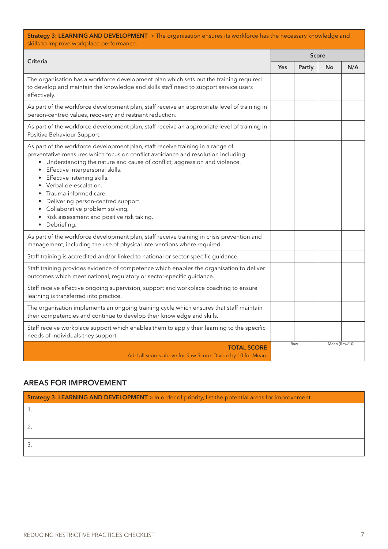| Strategy 3: LEARNING AND DEVELOPMENT > The organisation ensures its workforce has the necessary knowledge and<br>skills to improve workplace performance.                                                                                                                                                                                                                                                                                                                                                                                                                            |              |        |               |     |
|--------------------------------------------------------------------------------------------------------------------------------------------------------------------------------------------------------------------------------------------------------------------------------------------------------------------------------------------------------------------------------------------------------------------------------------------------------------------------------------------------------------------------------------------------------------------------------------|--------------|--------|---------------|-----|
|                                                                                                                                                                                                                                                                                                                                                                                                                                                                                                                                                                                      | <b>Score</b> |        |               |     |
| Criteria                                                                                                                                                                                                                                                                                                                                                                                                                                                                                                                                                                             | Yes          | Partly | <b>No</b>     | N/A |
| The organisation has a workforce development plan which sets out the training required<br>to develop and maintain the knowledge and skills staff need to support service users<br>effectively.                                                                                                                                                                                                                                                                                                                                                                                       |              |        |               |     |
| As part of the workforce development plan, staff receive an appropriate level of training in<br>person-centred values, recovery and restraint reduction.                                                                                                                                                                                                                                                                                                                                                                                                                             |              |        |               |     |
| As part of the workforce development plan, staff receive an appropriate level of training in<br>Positive Behaviour Support.                                                                                                                                                                                                                                                                                                                                                                                                                                                          |              |        |               |     |
| As part of the workforce development plan, staff receive training in a range of<br>preventative measures which focus on conflict avoidance and resolution including:<br>• Understanding the nature and cause of conflict, aggression and violence.<br>Effective interpersonal skills.<br>$\bullet$<br>Effective listening skills.<br>$\bullet$<br>Verbal de-escalation.<br>$\bullet$<br>Trauma-informed care.<br>Delivering person-centred support.<br>$\bullet$<br>Collaborative problem solving.<br>$\bullet$<br>Risk assessment and positive risk taking.<br>٠<br>Debriefing<br>٠ |              |        |               |     |
| As part of the workforce development plan, staff receive training in crisis prevention and<br>management, including the use of physical interventions where required.                                                                                                                                                                                                                                                                                                                                                                                                                |              |        |               |     |
| Staff training is accredited and/or linked to national or sector-specific guidance.                                                                                                                                                                                                                                                                                                                                                                                                                                                                                                  |              |        |               |     |
| Staff training provides evidence of competence which enables the organisation to deliver<br>outcomes which meet national, regulatory or sector-specific guidance.                                                                                                                                                                                                                                                                                                                                                                                                                    |              |        |               |     |
| Staff receive effective ongoing supervision, support and workplace coaching to ensure<br>learning is transferred into practice.                                                                                                                                                                                                                                                                                                                                                                                                                                                      |              |        |               |     |
| The organisation implements an ongoing training cycle which ensures that staff maintain<br>their competencies and continue to develop their knowledge and skills.                                                                                                                                                                                                                                                                                                                                                                                                                    |              |        |               |     |
| Staff receive workplace support which enables them to apply their learning to the specific<br>needs of individuals they support.                                                                                                                                                                                                                                                                                                                                                                                                                                                     |              |        |               |     |
| <b>TOTAL SCORE</b><br>Add all scores above for Raw Score. Divide by 10 for Mean.                                                                                                                                                                                                                                                                                                                                                                                                                                                                                                     |              | Raw    | Mean (Raw/10) |     |

| Strategy 3: LEARNING AND DEVELOPMENT > In order of priority, list the potential areas for improvement. |  |
|--------------------------------------------------------------------------------------------------------|--|
|                                                                                                        |  |
|                                                                                                        |  |
|                                                                                                        |  |
|                                                                                                        |  |
|                                                                                                        |  |
|                                                                                                        |  |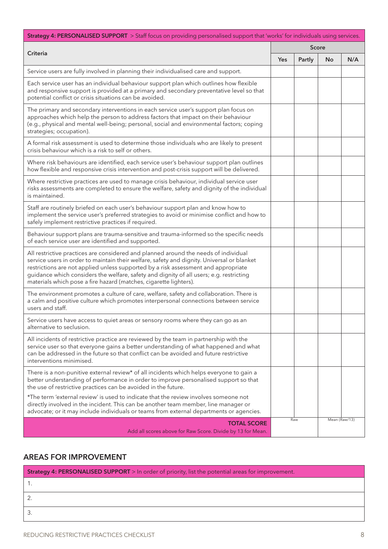| Strategy 4: PERSONALISED SUPPORT > Staff focus on providing personalised support that 'works' for individuals using services.                                                                                                                                                                                                                                                                                                           |            |        |               |     |
|-----------------------------------------------------------------------------------------------------------------------------------------------------------------------------------------------------------------------------------------------------------------------------------------------------------------------------------------------------------------------------------------------------------------------------------------|------------|--------|---------------|-----|
| <b>Criteria</b>                                                                                                                                                                                                                                                                                                                                                                                                                         | Score      |        |               |     |
|                                                                                                                                                                                                                                                                                                                                                                                                                                         | <b>Yes</b> | Partly | No            | N/A |
| Service users are fully involved in planning their individualised care and support.                                                                                                                                                                                                                                                                                                                                                     |            |        |               |     |
| Each service user has an individual behaviour support plan which outlines how flexible<br>and responsive support is provided at a primary and secondary preventative level so that<br>potential conflict or crisis situations can be avoided.                                                                                                                                                                                           |            |        |               |     |
| The primary and secondary interventions in each service user's support plan focus on<br>approaches which help the person to address factors that impact on their behaviour<br>(e.g., physical and mental well-being; personal, social and environmental factors; coping<br>strategies; occupation).                                                                                                                                     |            |        |               |     |
| A formal risk assessment is used to determine those individuals who are likely to present<br>crisis behaviour which is a risk to self or others.                                                                                                                                                                                                                                                                                        |            |        |               |     |
| Where risk behaviours are identified, each service user's behaviour support plan outlines<br>how flexible and responsive crisis intervention and post-crisis support will be delivered.                                                                                                                                                                                                                                                 |            |        |               |     |
| Where restrictive practices are used to manage crisis behaviour, individual service user<br>risks assessments are completed to ensure the welfare, safety and dignity of the individual<br>is maintained.                                                                                                                                                                                                                               |            |        |               |     |
| Staff are routinely briefed on each user's behaviour support plan and know how to<br>implement the service user's preferred strategies to avoid or minimise conflict and how to<br>safely implement restrictive practices if required.                                                                                                                                                                                                  |            |        |               |     |
| Behaviour support plans are trauma-sensitive and trauma-informed so the specific needs<br>of each service user are identified and supported.                                                                                                                                                                                                                                                                                            |            |        |               |     |
| All restrictive practices are considered and planned around the needs of individual<br>service users in order to maintain their welfare, safety and dignity. Universal or blanket<br>restrictions are not applied unless supported by a risk assessment and appropriate<br>guidance which considers the welfare, safety and dignity of all users; e.g. restricting<br>materials which pose a fire hazard (matches, cigarette lighters). |            |        |               |     |
| The environment promotes a culture of care, welfare, safety and collaboration. There is<br>a calm and positive culture which promotes interpersonal connections between service<br>users and staff.                                                                                                                                                                                                                                     |            |        |               |     |
| Service users have access to quiet areas or sensory rooms where they can go as an<br>alternative to seclusion.                                                                                                                                                                                                                                                                                                                          |            |        |               |     |
| All incidents of restrictive practice are reviewed by the team in partnership with the<br>service user so that everyone gains a better understanding of what happened and what<br>can be addressed in the future so that conflict can be avoided and future restrictive<br>interventions minimised.                                                                                                                                     |            |        |               |     |
| There is a non-punitive external review* of all incidents which helps everyone to gain a<br>better understanding of performance in order to improve personalised support so that<br>the use of restrictive practices can be avoided in the future.                                                                                                                                                                                      |            |        |               |     |
| *The term 'external review' is used to indicate that the review involves someone not<br>directly involved in the incident. This can be another team member, line manager or<br>advocate; or it may include individuals or teams from external departments or agencies.                                                                                                                                                                  |            |        |               |     |
| <b>TOTAL SCORE</b><br>Add all scores above for Raw Score. Divide by 13 for Mean.                                                                                                                                                                                                                                                                                                                                                        |            | Raw    | Mean (Raw/13) |     |

| <b>Strategy 4: PERSONALISED SUPPORT</b> > In order of priority, list the potential areas for improvement. |  |
|-----------------------------------------------------------------------------------------------------------|--|
|                                                                                                           |  |
|                                                                                                           |  |
|                                                                                                           |  |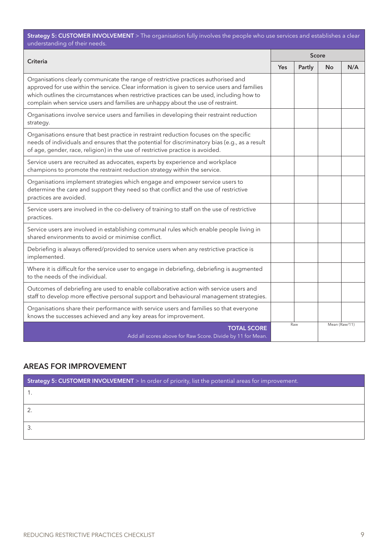**Strategy 5: CUSTOMER INVOLVEMENT** > The organisation fully involves the people who use services and establishes a clear understanding of their needs.

| <b>Criteria</b>                                                                                                                                                                                                                                                                                                                                                       |  | Score  |               |     |  |
|-----------------------------------------------------------------------------------------------------------------------------------------------------------------------------------------------------------------------------------------------------------------------------------------------------------------------------------------------------------------------|--|--------|---------------|-----|--|
|                                                                                                                                                                                                                                                                                                                                                                       |  | Partly | <b>No</b>     | N/A |  |
| Organisations clearly communicate the range of restrictive practices authorised and<br>approved for use within the service. Clear information is given to service users and families<br>which outlines the circumstances when restrictive practices can be used, including how to<br>complain when service users and families are unhappy about the use of restraint. |  |        |               |     |  |
| Organisations involve service users and families in developing their restraint reduction<br>strategy.                                                                                                                                                                                                                                                                 |  |        |               |     |  |
| Organisations ensure that best practice in restraint reduction focuses on the specific<br>needs of individuals and ensures that the potential for discriminatory bias (e.g., as a result<br>of age, gender, race, religion) in the use of restrictive practice is avoided.                                                                                            |  |        |               |     |  |
| Service users are recruited as advocates, experts by experience and workplace<br>champions to promote the restraint reduction strategy within the service.                                                                                                                                                                                                            |  |        |               |     |  |
| Organisations implement strategies which engage and empower service users to<br>determine the care and support they need so that conflict and the use of restrictive<br>practices are avoided.                                                                                                                                                                        |  |        |               |     |  |
| Service users are involved in the co-delivery of training to staff on the use of restrictive<br>practices.                                                                                                                                                                                                                                                            |  |        |               |     |  |
| Service users are involved in establishing communal rules which enable people living in<br>shared environments to avoid or minimise conflict.                                                                                                                                                                                                                         |  |        |               |     |  |
| Debriefing is always offered/provided to service users when any restrictive practice is<br>implemented.                                                                                                                                                                                                                                                               |  |        |               |     |  |
| Where it is difficult for the service user to engage in debriefing, debriefing is augmented<br>to the needs of the individual.                                                                                                                                                                                                                                        |  |        |               |     |  |
| Outcomes of debriefing are used to enable collaborative action with service users and<br>staff to develop more effective personal support and behavioural management strategies.                                                                                                                                                                                      |  |        |               |     |  |
| Organisations share their performance with service users and families so that everyone<br>knows the successes achieved and any key areas for improvement.                                                                                                                                                                                                             |  |        |               |     |  |
| <b>TOTAL SCORE</b><br>Add all scores above for Raw Score. Divide by 11 for Mean.                                                                                                                                                                                                                                                                                      |  | Raw    | Mean (Raw/11) |     |  |

| Strategy 5: CUSTOMER INVOLVEMENT > In order of priority, list the potential areas for improvement. |  |
|----------------------------------------------------------------------------------------------------|--|
|                                                                                                    |  |
|                                                                                                    |  |
|                                                                                                    |  |
|                                                                                                    |  |
|                                                                                                    |  |
|                                                                                                    |  |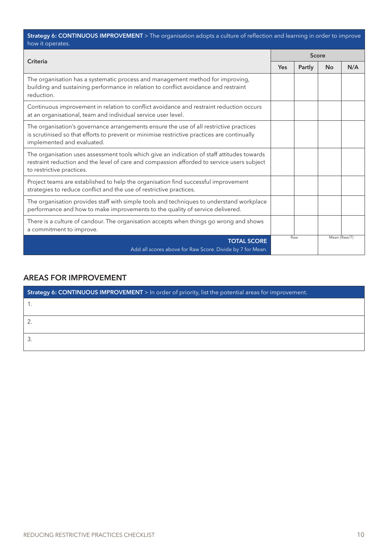| Strategy 6: CONTINUOUS IMPROVEMENT > The organisation adopts a culture of reflection and learning in order to improve |  |
|-----------------------------------------------------------------------------------------------------------------------|--|
| how it operates.                                                                                                      |  |

| Criteria                                                                                                                                                                                                              |  | <b>Score</b> |              |     |
|-----------------------------------------------------------------------------------------------------------------------------------------------------------------------------------------------------------------------|--|--------------|--------------|-----|
|                                                                                                                                                                                                                       |  | Partly       | <b>No</b>    | N/A |
| The organisation has a systematic process and management method for improving,<br>building and sustaining performance in relation to conflict avoidance and restraint<br>reduction.                                   |  |              |              |     |
| Continuous improvement in relation to conflict avoidance and restraint reduction occurs<br>at an organisational, team and individual service user level.                                                              |  |              |              |     |
| The organisation's governance arrangements ensure the use of all restrictive practices<br>is scrutinised so that efforts to prevent or minimise restrictive practices are continually<br>implemented and evaluated.   |  |              |              |     |
| The organisation uses assessment tools which give an indication of staff attitudes towards<br>restraint reduction and the level of care and compassion afforded to service users subject<br>to restrictive practices. |  |              |              |     |
| Project teams are established to help the organisation find successful improvement<br>strategies to reduce conflict and the use of restrictive practices.                                                             |  |              |              |     |
| The organisation provides staff with simple tools and techniques to understand workplace<br>performance and how to make improvements to the quality of service delivered.                                             |  |              |              |     |
| There is a culture of candour. The organisation accepts when things go wrong and shows<br>a commitment to improve.                                                                                                    |  |              |              |     |
| <b>TOTAL SCORE</b><br>Add all scores above for Raw Score. Divide by 7 for Mean.                                                                                                                                       |  | Raw          | Mean (Raw/7) |     |

| Strategy 6: CONTINUOUS IMPROVEMENT > In order of priority, list the potential areas for improvement. |  |  |
|------------------------------------------------------------------------------------------------------|--|--|
|                                                                                                      |  |  |
|                                                                                                      |  |  |
|                                                                                                      |  |  |
|                                                                                                      |  |  |
|                                                                                                      |  |  |
|                                                                                                      |  |  |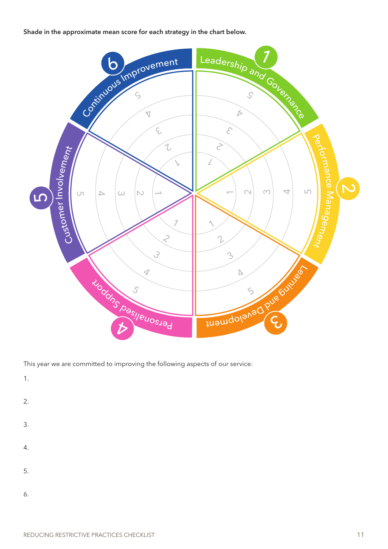Shade in the approximate mean score for each strategy in the chart below.



This year we are committed to improving the following aspects of our service:

1.

- 2.
- 3.
- 4.
- 
- 5.
- 
- 6.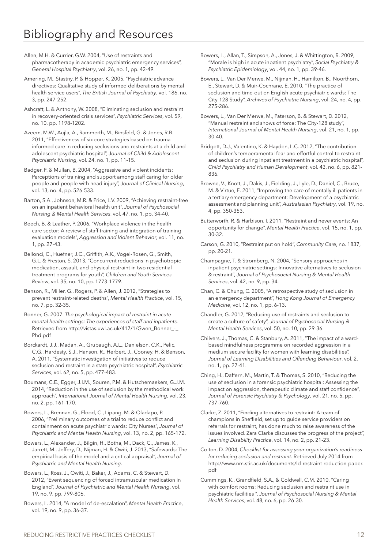Allen, M.H. & Currier, G.W. 2004, "Use of restraints and pharmacotherapy in academic psychiatric emergency services", *General Hospital Psychiatry*, vol. 26, no. 1, pp. 42-49.

Amering, M., Stastny, P. & Hopper, K. 2005, "Psychiatric advance directives: Qualitative study of informed deliberations by mental health service users", *The British Journal of Psychiatry*, vol. 186, no. 3, pp. 247-252.

Ashcraft, L. & Anthony, W. 2008, "Eliminating seclusion and restraint in recovery-oriented crisis services", *Psychiatric Services*, vol. 59, no. 10, pp. 1198-1202.

Azeem, M.W., Aujla, A., Rammerth, M., Binsfeld, G. & Jones, R.B. 2011, "Effectiveness of six core strategies based on trauma informed care in reducing seclusions and restraints at a child and adolescent psychiatric hospital", J*ournal of Child & Adolescent Psychiatric Nursing*, vol. 24, no. 1, pp. 11-15.

Badger, F. & Mullan, B. 2004, "Aggressive and violent incidents: Perceptions of training and support among staff caring for older people and people with head injury", *Journal of Clinical Nursing*, vol. 13, no. 4, pp. 526-533.

Barton, S.A., Johnson, M.R. & Price, L.V. 2009, "Achieving restraint-free on an inpatient behavioral health unit", *Journal of Psychosocial Nursing & Mental Health Services*, vol. 47, no. 1, pp. 34-40.

Beech, B. & Leather, P. 2006, "Workplace violence in the health care sector: A review of staff training and integration of training evaluation models", *Aggression and Violent Behavior*, vol. 11, no. 1, pp. 27-43.

Bellonci, C., Huefner, J.C., Griffith, A.K., Vogel-Rosen, G., Smith, G.L. & Preston, S. 2013, "Concurrent reductions in psychotropic medication, assault, and physical restraint in two residential treatment programs for youth", *Children and Youth Services Revie*w, vol. 35, no. 10, pp. 1773-1779.

Benson, R., Miller, G., Rogers, P. & Allen, J. 2012, "Strategies to prevent restraint-related deaths", *Mental Health Practice*, vol. 15, no. 7, pp. 32-35.

Bonner, G. 2007. *The psychological impact of restraint in acute mental health settings: The experiences of staff and inpatients.* Retrieved from http://vistas.uwl.ac.uk/417/1/Gwen\_Bonner\_-\_ Phd.pdf

Borckardt, J.J., Madan, A., Grubaugh, A.L., Danielson, C.K., Pelic, C.G., Hardesty, S.J., Hanson, R., Herbert, J., Cooney, H. & Benson, A. 2011, "Systematic investigation of initiatives to reduce seclusion and restraint in a state psychiatric hospital", *Psychiatric Services*, vol. 62, no. 5, pp. 477-483.

Boumans, C.E., Egger, J.I.M., Souren, P.M. & Hutschemaekers, G.J.M. 2014, "Reduction in the use of seclusion by the methodical work approach", *International Journal of Mental Health Nursing*, vol. 23, no. 2, pp. 161-170.

Bowers, L., Brennan, G., Flood, C., Lipang, M. & Oladapo, P. 2006, "Preliminary outcomes of a trial to reduce conflict and containment on acute psychiatric wards: City Nurses", *Journal of Psychiatric and Mental Health Nursing*, vol. 13, no. 2, pp. 165-172.

Bowers, L., Alexander, J., Bilgin, H., Botha, M., Dack, C., James, K., Jarrett, M., Jeffery, D., Nijman, H. & Owiti, J. 2013, "Safewards: The empirical basis of the model and a critical appraisal", *Journal of Psychiatric and Mental Health Nursing*.

Bowers, L., Ross, J., Owiti, J., Baker, J., Adams, C. & Stewart, D. 2012, "Event sequencing of forced intramuscular medication in England", *Journal of Psychiatric and Mental Health Nursing*, vol. 19, no. 9, pp. 799-806.

Bowers, L. 2014, "A model of de-escalation", *Mental Health Practice*, vol. 19, no. 9, pp. 36-37.

Bowers, L., Allan, T., Simpson, A., Jones, J. & Whittington, R. 2009, "Morale is high in acute inpatient psychiatry", *Social Psychiatry & Psychiatric Epidemiology*, vol. 44, no. 1, pp. 39-46.

Bowers, L., Van Der Merwe, M., Nijman, H., Hamilton, B., Noorthorn, E., Stewart, D. & Muir-Cochrane, E. 2010, "The practice of seclusion and time-out on English acute psychiatric wards: The City-128 Study", *Archives of Psychiatric Nursing*, vol. 24, no. 4, pp. 275-286.

Bowers, L., Van Der Merwe, M., Paterson, B. & Stewart, D. 2012, "Manual restraint and shows of force: The City-128 study", *International Journal of Mental Health Nursing*, vol. 21, no. 1, pp. 30-40.

Bridgett, D.J., Valentino, K. & Hayden, L.C. 2012, "The contribution of children's temperamental fear and effortful control to restraint and seclusion during inpatient treatment in a psychiatric hospital", *Child Psychiatry and Human Development*, vol. 43, no. 6, pp. 821- 836.

Browne, V., Knott, J., Dakis, J., Fielding, J., Lyle, D., Daniel, C., Bruce, M. & Virtue, E. 2011, "Improving the care of mentally ill patients in a tertiary emergency department: Development of a psychiatric assessment and planning unit", *Australasian Psychiatry*, vol. 19, no. 4, pp. 350-353.

Butterworth, R. & Harbison, I. 2011, "Restraint and never events: An opportunity for change", *Mental Health Practice*, vol. 15, no. 1, pp. 30-32.

Carson, G. 2010, "Restraint put on hold", *Community Care*, no. 1837, pp. 20-21.

Champagne, T. & Stromberg, N. 2004, "Sensory approaches in inpatient psychiatric settings: Innovative alternatives to seclusion & restraint", *Journal of Psychosocial Nursing & Mental Health Services*, vol. 42, no. 9, pp. 34.

Chan, C. & Chung, C. 2005, "A retrospective study of seclusion in an emergency department", *Hong Kong Journal of Emergency Medicine*, vol. 12, no. 1, pp. 6-13.

Chandler, G. 2012, "Reducing use of restraints and seclusion to create a culture of safety", *Journal of Psychosocial Nursing & Mental Health Services*, vol. 50, no. 10, pp. 29-36.

Chilvers, J., Thomas, C. & Stanbury, A. 2011, "The impact of a wardbased mindfulness programme on recorded aggression in a medium secure facility for women with learning disabilities", *Journal of Learning Disabilities and Offending Behaviour*, vol. 2, no. 1, pp. 27-41.

Ching, H., Daffern, M., Martin, T. & Thomas, S. 2010, "Reducing the use of seclusion in a forensic psychiatric hospital: Assessing the impact on aggression, therapeutic climate and staff confidence", *Journal of Forensic Psychiatry & Psychology*, vol. 21, no. 5, pp. 737-760.

Clarke, Z. 2011, "Finding alternatives to restraint: A team of champions in Sheffield, set up to guide service providers on referrals for restraint, has done much to raise awareness of the issues involved. Zara Clarke discusses the progress of the project", *Learning Disability Practice*, vol. 14, no. 2, pp. 21-23.

Colton, D. 2004, *Checklist for assessing your organization's readiness for reducing seclusion and restraint*. Retrieved July 2014 from http://www.nm.stir.ac.uk/documents/ld-restraint-reduction-paper. pdf

Cummings, K., Grandfield, S.A., & Coldwell, C.M. 2010, "Caring with comfort rooms: Reducing seclusion and restraint use in psychiatric facilities ", *Journal of Psychosocial Nursing & Mental Health Services*, vol. 48, no. 6, pp. 26-30.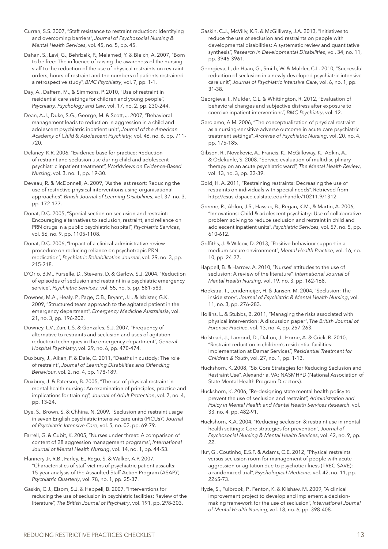Curran, S.S. 2007, "Staff resistance to restraint reduction: Identifying and overcoming barriers", *Journal of Psychosocial Nursing & Mental Health Services*, vol. 45, no. 5, pp. 45.

Dahan, S., Levi, G., Behrbalk, P., Melamed, Y. & Bleich, A. 2007, "Born to be free: The influence of raising the awareness of the nursing staff to the reduction of the use of physical restraints on restraint orders, hours of restraint and the numbers of patients restrained – a retrospective study", *BMC Psychiatry*, vol. 7, pp. 1-1.

Day, A., Daffern, M., & Simmons, P. 2010, "Use of restraint in residential care settings for children and young people", *Psychiatry, Psychology and Law*, vol. 17, no. 2, pp. 230-244.

Dean, A.J., Duke, S.G., George, M. & Scott, J. 2007, "Behavioral management leads to reduction in aggression in a child and adolescent psychiatric inpatient unit", *Journal of the American Academy of Child & Adolescent Psychiatry,* vol. 46, no. 6, pp. 711- 720.

Delaney, K.R. 2006, "Evidence base for practice: Reduction of restraint and seclusion use during child and adolescent psychiatric inpatient treatment", *Worldviews on Evidence-Based Nursing*, vol. 3, no. 1, pp. 19-30.

Deveau, R. & McDonnell, A. 2009, "As the last resort: Reducing the use of restrictive physical interventions using organisational approaches", *British Journal of Learning Disabilities*, vol. 37, no. 3, pp. 172-177.

Donat, D.C. 2005, "Special section on seclusion and restraint: Encouraging alternatives to seclusion, restraint, and reliance on PRN drugs in a public psychiatric hospital", *Psychiatric Services*, vol. 56, no. 9, pp. 1105-1108.

Donat, D.C. 2006, "Impact of a clinical-administrative review procedure on reducing reliance on psychotropic PRN medication", *Psychiatric Rehabilitation Journal*, vol. 29, no. 3, pp. 215-218.

D'Orio, B.M., Purselle, D., Stevens, D. & Garlow, S.J. 2004, "Reduction of episodes of seclusion and restraint in a psychiatric emergency service", *Psychiatric Services,* vol. 55, no. 5, pp. 581-583.

Downes, M.A., Healy, P., Page, C.B., Bryant, J.L. & Isbister, G.K. 2009, "Structured team approach to the agitated patient in the emergency department", *Emergency Medicine Australasia*, vol. 21, no. 3, pp. 196-202.

Downey, L.V., Zun, L.S. & Gonzales, S.J. 2007, "Frequency of alternative to restraints and seclusion and uses of agitation reduction techniques in the emergency department", *General Hospital Psychiatry*, vol. 29, no. 6, pp. 470-474.

Duxbury, J., Aiken, F. & Dale, C. 2011, "Deaths in custody: The role of restraint", *Journal of Learning Disabilities and Offending Behaviour*, vol. 2, no. 4, pp. 178-189.

Duxbury, J. & Paterson, B. 2005, "The use of physical restraint in mental health nursing: An examination of principles, practice and implications for training", *Journal of Adult Protection*, vol. 7, no. 4, pp. 13-24.

Dye, S., Brown, S. & Chhina, N. 2009, "Seclusion and restraint usage in seven English psychiatric intensive care units (PICUs)", *Journal of Psychiatric Intensive Care*, vol. 5, no. 02, pp. 69-79.

Farrell, G. & Cubit, K. 2005, "Nurses under threat: A comparison of content of 28 aggression management programs", *International Journal of Mental Health Nursing*, vol. 14, no. 1, pp. 44-53.

Flannery Jr, R.B., Farley, E., Rego, S. & Walker, A.P. 2007, "Characteristics of staff victims of psychiatric patient assaults: 15-year analysis of the Assaulted Staff Action Program (ASAP)", *Psychiatric Quarterly*, vol. 78, no. 1, pp. 25-37.

Gaskin, C.J., Elsom, S.J. & Happell, B. 2007, "Interventions for reducing the use of seclusion in psychiatric facilities: Review of the literature", *The British Journal of Psychiatry*, vol. 191, pp. 298-303.

Gaskin, C.J., McVilly, K.R. & McGillivray, J.A. 2013, "Initiatives to reduce the use of seclusion and restraints on people with developmental disabilities: A systematic review and quantitative synthesis", *Research in Developmental Disabilities*, vol. 34, no. 11, pp. 3946-3961.

Georgieva, I., de Haan, G., Smith, W. & Mulder, C.L. 2010, "Successful reduction of seclusion in a newly developed psychiatric intensive care unit", *Journal of Psychiatric Intensive Care*, vol. 6, no. 1, pp. 31-38.

Georgieva, I., Mulder, C.L. & Whittington, R. 2012, "Evaluation of behavioral changes and subjective distress after exposure to coercive inpatient interventions", *BMC Psychiatry*, vol. 12.

Gerolamo, A.M. 2006, "The conceptualization of physical restraint as a nursing-sensitive adverse outcome in acute care psychiatric treatment settings", *Archives of Psychiatric Nursing*, vol. 20, no. 4, pp. 175-185.

Gibson, R., Novakovic, A., Francis, K., McGilloway, K., Adkin, A., & Odekunle, S. 2008. "Service evaluation of multidisciplinary therapy on an acute psychiatric ward", *The Mental Health Review*, vol. 13, no. 3, pp. 32-39.

Gold, H. A. 2011, "Restraining restraints: Decreasing the use of restraints on individuals with special needs". Retrieved from http://csus-dspace.calstate.edu/handle/10211.9/1312

Greene, R., Ablon, J.S., Hassuk, B., Regan, K.M., & Martin, A. 2006, "Innovations: Child & adolescent psychiatry: Use of collaborative problem solving to reduce seclusion and restraint in child and adolescent inpatient units", *Psychiatric Services*, vol. 57, no. 5, pp. 610-612.

Griffiths, J. & Wilcox, D. 2013, "Positive behaviour support in a medium secure environment", *Mental Health Practice*, vol. 16, no. 10, pp. 24-27.

Happell, B. & Harrow, A. 2010, "Nurses' attitudes to the use of seclusion: A review of the literature", *International Journal of Mental Health Nursing*, vol. 19, no. 3, pp. 162-168.

Hoekstra, T., Lendemeijer, H. & Jansen, M. 2004, "Seclusion: The inside story", *Journal of Psychiatric & Mental Health Nursing*, vol. 11, no. 3, pp. 276-283.

Hollins, L. & Stubbs, B. 2011, "Managing the risks associated with physical intervention: A discussion paper", *The British Journal of Forensic Practice*, vol. 13, no. 4, pp. 257-263.

Holstead, J., Lamond, D., Dalton, J., Horne, A. & Crick, R. 2010, "Restraint reduction in children's residential facilities: Implementation at Damar Services", *Residential Treatment for Children & Youth*, vol. 27, no. 1, pp. 1-13.

Huckshorn, K. 2008, "Six Core Strategies for Reducing Seclusion and Restraint Use". Alexandria, VA: NASMHPD (National Association of State Mental Health Program Directors).

Huckshorn, K. 2006, "Re-designing state mental health policy to prevent the use of seclusion and restraint", *Administration and Policy in Mental Health and Mental Health Services Research*, vol. 33, no. 4, pp. 482-91.

Huckshorn, K.A. 2004, "Reducing seclusion & restraint use in mental health settings: Core strategies for prevention", *Journal of Psychosocial Nursing & Mental Health Services*, vol. 42, no. 9, pp. 22

Huf, G., Coutinho, E.S.F. & Adams, C.E. 2012, "Physical restraints versus seclusion room for management of people with acute aggression or agitation due to psychotic illness (TREC-SAVE): a randomized trial", *Psychological Medicine*, vol. 42, no. 11, pp. 2265-73.

Hyde, S., Fulbrook, P., Fenton, K. & Kilshaw, M. 2009, "A clinical improvement project to develop and implement a decisionmaking framework for the use of seclusion", *International Journal of Mental Health Nursing*, vol. 18, no. 6, pp. 398-408.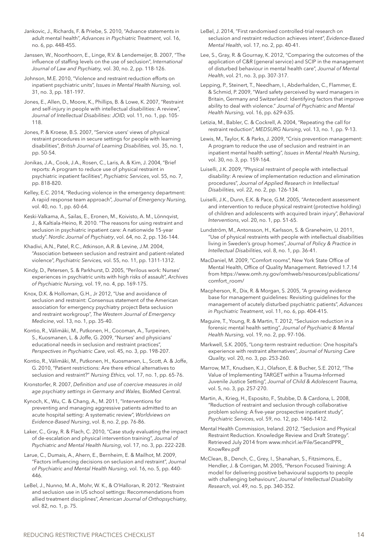Jankovic, J., Richards, F. & Priebe, S. 2010, "Advance statements in adult mental health", *Advances in Psychiatric Treatment,* vol. 16, no. 6, pp. 448-455.

Janssen, W., Noorthoorn, E., Linge, R.V. & Lendemeijer, B. 2007, "The influence of staffing levels on the use of seclusion", *International Journal of Law and Psychiatry,* vol. 30, no. 2, pp. 118-126.

Johnson, M.E. 2010, "Violence and restraint reduction efforts on inpatient psychiatric units", *Issues in Mental Health Nursing,* vol. 31, no. 3, pp. 181-197.

Jones, E., Allen, D., Moore, K., Phillips, B. & Lowe, K. 2007, "Restraint and self-injury in people with intellectual disabilities: A review", *Journal of Intellectual Disabilities: JOID,* vol. 11, no. 1, pp. 105- 118.

Jones, P. & Kroese, B.S. 2007, "Service users' views of physical restraint procedures in secure settings for people with learning disabilities", *British Journal of Learning Disabilities,* vol. 35, no. 1, pp. 50-54.

Jonikas, J.A., Cook, J.A., Rosen, C., Laris, A. & Kim, J. 2004, "Brief reports: A program to reduce use of physical restraint in psychiatric inpatient facilities", *Psychiatric Services*, vol. 55, no. 7, pp. 818-820.

Kelley, E.C. 2014, "Reducing violence in the emergency department: A rapid response team approach", *Journal of Emergency Nursing,*  vol. 40, no. 1, pp. 60-64.

Keski-Valkama, A., Sailas, E., Eronen, M., Koivisto, A. M., Lönnqvist, J., & Kaltiala-Heino, R. 2010. "The reasons for using restraint and seclusion in psychiatric inpatient care: A nationwide 15-year study". *Nordic Journal of Psychiatry*, vol. 64, no. 2, pp. 136-144.

Khadivi, A.N., Patel, R.C., Atkinson, A.R. & Levine, J.M. 2004, "Association between seclusion and restraint and patient-related violence", *Psychiatric Services,* vol. 55, no. 11, pp. 1311-1312.

Kindy, D., Petersen, S. & Parkhurst, D. 2005, "Perilous work: Nurses' experiences in psychiatric units with high risks of assault", *Archives of Psychiatric Nursing,* vol. 19, no. 4, pp. 169-175.

Knox, D.K. & Holloman, G.H., Jr 2012, "Use and avoidance of seclusion and restraint: Consensus statement of the American association for emergency psychiatry project Beta seclusion and restraint workgroup", *The Western Journal of Emergency Medicine*, vol. 13, no. 1, pp. 35-40.

Kontio, R., Välimäki, M., Putkonen, H., Cocoman, A., Turpeinen, S., Kuosmanen, L. & Joffe, G. 2009, "Nurses' and physicians' educational needs in seclusion and restraint practices", *Perspectives in Psychiatric Care*, vol. 45, no. 3, pp. 198-207.

Kontio, R., Välimäki, M., Putkonen, H., Kuosmanen, L., Scott, A. & Joffe, G. 2010, "Patient restrictions: Are there ethical alternatives to seclusion and restraint?" *Nursing Ethics,* vol. 17, no. 1, pp. 65-76.

Kronstorfer, R. 2007, *Definition and use of coercive measures in old age psychiatry settings in Germany and Wales,* BioMed Central.

Kynoch, K., Wu, C. & Chang, A., M. 2011, "Interventions for preventing and managing aggressive patients admitted to an acute hospital setting: A systematic review", *Worldviews on Evidence-Based Nursing*, vol. 8, no. 2, pp. 76-86.

Laker, C., Gray, R. & Flach, C. 2010, "Case study evaluating the impact of de-escalation and physical intervention training", *Journal of Psychiatric and Mental Health Nursing*, vol. 17, no. 3, pp. 222-228.

Larue, C., Dumais, A., Ahern, E., Bernheim, E. & Mailhot, M. 2009, "Factors influencing decisions on seclusion and restraint", *Journal of Psychiatric and Mental Health Nursing*, vol. 16, no. 5, pp. 440- 446.

LeBel, J., Nunno, M. A., Mohr, W. K., & O'Halloran, R. 2012. "Restraint and seclusion use in US school settings: Recommendations from allied treatment disciplines", *American Journal of Orthopsychiatry,*  vol. 82, no. 1, p. 75.

LeBel, J. 2014, "First randomised controlled-trial research on seclusion and restraint reduction achieves intent", *Evidence-Based Mental Health*, vol. 17, no. 2, pp. 40-41.

Lee, S., Gray, R. & Gournay, K. 2012, "Comparing the outcomes of the application of C&R (general service) and SCIP in the management of disturbed behaviour in mental health care", *Journal of Mental Health*, vol. 21, no. 3, pp. 307-317.

Lepping, P., Steinert, T., Needham, I., Abderhalden, C., Flammer, E. & Schmid, P. 2009, "Ward safety perceived by ward managers in Britain, Germany and Switzerland: Identifying factors that improve ability to deal with violence." *Journal of Psychiatric and Mental Health Nursing,* vol. 16, pp. 629-635.

Letizia, M., Babler, C. & Cockrell, A. 2004, "Repeating the call for restraint reduction", *MEDSURG Nursing*, vol. 13, no. 1, pp. 9-13.

Lewis, M., Taylor, K. & Parks, J. 2009, "Crisis prevention management: A program to reduce the use of seclusion and restraint in an inpatient mental health setting", *Issues in Mental Health Nursing*, vol. 30, no. 3, pp. 159-164.

Luiselli, J.K. 2009, "Physical restraint of people with intellectual disability: A review of implementation reduction and elimination procedures", *Journal of Applied Research in Intellectual Disabilities,* vol. 22, no. 2, pp. 126-134.

Luiselli, J.K., Dunn, E.K. & Pace, G.M. 2005, "Antecedent assessment and intervention to reduce physical restraint (protective holding) of children and adolescents with acquired brain injury", *Behavioral Interventions*, vol. 20, no. 1, pp. 51-65.

Lundström, M., Antonsson, H., Karlsson, S. & Graneheim, U. 2011, "Use of physical restraints with people with intellectual disabilities living in Sweden's group homes", *Journal of Policy & Practice in Intellectual Disabilities*, vol. 8, no. 1, pp. 36-41.

MacDaniel, M. 2009, "Comfort rooms", New York State Office of Mental Health, Office of Quality Management. Retrieved 1.7.14 from https://www.omh.ny.gov/omhweb/resources/publications/ comfort\_room/

Macpherson, R., Dix, R. & Morgan, S. 2005, "A growing evidence base for management guidelines: Revisiting guidelines for the management of acutely disturbed psychiatric patients", *Advances in Psychiatric Treatment*, vol. 11, no. 6, pp. 404-415.

Maguire, T., Young, R. & Martin, T. 2012, "Seclusion reduction in a forensic mental health setting", *Journal of Psychiatric & Mental Health Nursing,* vol. 19, no. 2, pp. 97-106.

Markwell, S.K. 2005, "Long-term restraint reduction: One hospital's experience with restraint alternatives", *Journal of Nursing Care Quality,* vol. 20, no. 3, pp. 253-260.

Marrow, M.T., Knudsen, K.J., Olafson, E. & Bucher, S.E. 2012, "The Value of Implementing TARGET within a Trauma-Informed Juvenile Justice Setting", *Journal of Child & Adolescent Trauma,* vol. 5, no. 3, pp. 257-270.

Martin, A., Krieg, H., Esposito, F., Stubbe, D. & Cardona, L. 2008, "Reduction of restraint and seclusion through collaborative problem solving: A five-year prospective inpatient study", *Psychiatric Services*, vol. 59, no. 12, pp. 1406-1412.

Mental Health Commission, Ireland. 2012. "Seclusion and Physical Restraint Reduction. Knowledge Review and Draft Strategy". Retrieved July 2014 from www.mhcirl.ie/File/SecandPPR\_ KnowRev.pdf

McClean, B., Dench, C., Grey, I., Shanahan, S., Fitzsimons, E., Hendler, J. & Corrigan, M. 2005, "Person Focused Training: A model for delivering positive behavioural supports to people with challenging behaviours", *Journal of Intellectual Disability Research*, vol. 49, no. 5, pp. 340-352.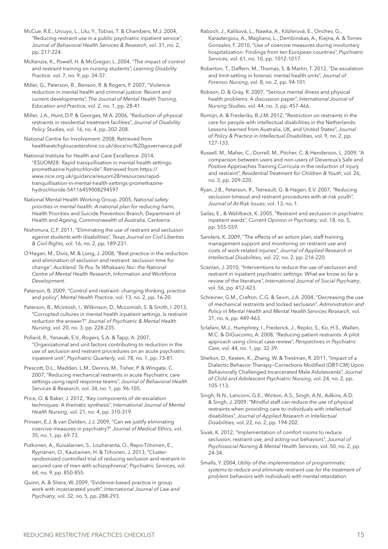McCue, R.E., Urcuyo, L., Lilu, Y., Tobias, T. & Chambers, M.J. 2004, "Reducing restraint use in a public psychiatric inpatient service", *Journal of Behavioral Health Services & Research*, vol. 31, no. 2, pp. 217-224.

McKenzie, K., Powell, H. & McGregor, L. 2004, "The impact of control and restraint training on nursing students", *Learning Disability Practice,* vol. 7, no. 9, pp. 34-37.

Miller, G., Paterson, B., Benson, R. & Rogers, P. 2007, "Violence reduction in mental health and criminal justice: Recent and current developments", *The Journal of Mental Health Training, Education and Practice*, vol. 2, no. 1, pp. 28-41.

Miller, J.A., Hunt, D.P. & Georges, M.A. 2006, "Reduction of physical restraints in residential treatment facilities", *Journal of Disability Policy Studies,* vol. 16, no. 4, pp. 202-208.

National Centre for Involvement. 2008, Retrieved from healthwatchgloucestershire.co.uk/docs/nci%20governance.pdf

National Institute for Health and Care Excellence. 2014, "ESUOM28: Rapid tranquillisation in mental health settings: promethazine hydrochloride". Retrieved from https:// www.nice.org.uk/guidance/esuom28/resources/rapidtranquillisation-in-mental-health-settings-promethazinehydrochloride-54116459008294597

National Mental Health Working Group. 2005, *National safety priorities in mental health: A national plan for reducing harm,* Health Priorities and Suicide Prevention Branch, Department of Health and Ageing, Commonwealth of Australia, Canberra.

Nishimura, C.F. 2011, "Eliminating the use of restraint and seclusion against students with disabilities", *Texas Journal on Civil Liberties & Civil Rights*, vol. 16, no. 2, pp. 189-231.

O'Hagan, M., Divis, M. & Long, J. 2008, "Best practice in the reduction and elimination of seclusion and restraint: seclusion time for change", *Auckland: Te Pou Te Whakaaro Nui: the National Centre of Mental Health Research, Information and Workforce Development.* 

Paterson, B. 2009, "Control and restraint: changing thinking, practice and policy", *Mental Health Practice*, vol. 13, no. 2, pp. 16-20.

Paterson, B., Mcintosh, I., Wilkinson, D., Mccomish, S. & Smith, I. 2013, "Corrupted cultures in mental health inpatient settings. Is restraint reduction the answer?" *Journal of Psychiatric & Mental Health Nursing*, vol. 20, no. 3, pp. 228-235.

Pollard, R., Yanasak, E.V., Rogers, S.A. & Tapp, A. 2007, "Organizational and unit factors contributing to reduction in the use of seclusion and restraint procedures on an acute psychiatric inpatient unit", *Psychiatric Quarterly,* vol. 78, no. 1, pp. 73-81.

Prescott, D.L., Madden, L.M., Dennis, M., Tisher, P. & Wingate, C. 2007, "Reducing mechanical restraints in acute Psychiatric care settings using rapid response teams", *Journal of Behavioral Health Services & Research,* vol. 34, no. 1, pp. 96-105.

Price, O. & Baker, J. 2012, "Key components of de-escalation techniques: A thematic synthesis", *International Journal of Mental Health Nursing,* vol. 21, no. 4, pp. 310-319.

Prinsen, E.J. & van Delden, J.J. 2009, "Can we justify eliminating coercive measures in psychiatry?" *Journal of Medical Ethics*, vol. 35, no. 1, pp. 69-73.

Putkonen, A., Kuivalainen, S., Louheranta, O., Repo-Tiihonen, E., Ryynänen, O., Kautiainen, H. & Tiihonen, J. 2013, "Clusterrandomized controlled trial of reducing seclusion and restraint in secured care of men with schizophrenia", *Psychiatric Services*, vol. 64, no. 9, pp. 850-855.

Quinn, A. & Shera, W. 2009, "Evidence-based practice in group work with incarcerated youth", *International Journal of Law and Psychiatry*, vol. 32, no. 5, pp. 288-293.

Raboch, J., Kališová, L., Nawka, A., Kitzlerová, E., Onchev, G., Karastergiou, A., Magliano, L., Dembinskas, A., Kiejna, A. & Torres-Gonzales, F. 2010, "Use of coercive measures during involuntary hospitalization: Findings from ten European countries", *Psychiatric Services*, vol. 61, no. 10, pp. 1012-1017.

Roberton, T., Daffern, M., Thomas, S. & Martin, T. 2012, "De-escalation and limit-setting in forensic mental health units", *Journal of Forensic Nursing*, vol. 8, no. 2, pp. 94-101.

Robson, D. & Gray, R. 2007, "Serious mental illness and physical health problems: A discussion paper", *International Journal of Nursing Studies*, vol. 44, no. 3, pp. 457-466.

Romijn, A. & Frederiks, B.J.M. 2012, "Restriction on restraints in the care for people with intellectual disabilities in the Netherlands: Lessons learned from Australia, UK, and United States", *Journal of Policy & Practice in Intellectual Disabilities*, vol. 9, no. 2, pp. 127-133.

Russell, M., Maher, C., Dorrell, M., Pitcher, C. & Henderson, L. 2009, "A comparison between users and non-users of Devereux's Safe and Positive Approaches Training Curricula in the reduction of injury and restraint", *Residential Treatment for Children & Youth*, vol. 26, no. 3, pp. 209-220.

Ryan, J.B., Peterson, R., Tetreault, G. & Hagen, E.V. 2007, "Reducing seclusion timeout and restraint procedures with at-risk youth", *Journal of At-Risk Issues*, vol. 13, no. 1.

Sailas, E., & Wahlbeck, K. 2005. "Restraint and seclusion in psychiatric inpatient wards", *Current Opinion in Psychiatry,* vol. 18, no. 5, pp. 555-559.

Sanders, K. 2009, "The effects of an action plan, staff training, management support and monitoring on restraint use and costs of work-related injuries", *Journal of Applied Research in Intellectual Disabilities*, vol. 22, no. 2, pp. 216-220.

Scanlan, J. 2010, "Interventions to reduce the use of seclusion and restraint in inpatient psychiatric settings: What we know so far a review of the literature", *International Journal of Social Psychiatry*, vol. 56, pp. 412-423.

Schreiner, G.M., Crafton, C.G. & Sevin, J.A. 2004, "Decreasing the use of mechanical restraints and locked seclusion", *Administration and Policy in Mental Health and Mental Health Services Research,* vol. 31, no. 6, pp. 449-463.

Sclafani, M.J., Humphrey, I., Frederick, J., Repko, S., Ko, H.S., Wallen, M.C. & DiGiacomo, A. 2008, "Reducing patient restraints: A pilot approach using clinical case review", *Perspectives in Psychiatric Care*, vol. 44, no. 1, pp. 32-39.

Shelton, D., Kesten, K., Zhang, W. & Trestman, R. 2011, "Impact of a Dialectic Behavior Therapy—Corrections Modified (DBT-CM) Upon Behaviorally Challenged Incarcerated Male Adolescents", *Journal of Child and Adolescent Psychiatric Nursing*, vol. 24, no. 2, pp. 105-113.

Singh, N.N., Lancioni, G.E., Winton, A.S., Singh, A.N., Adkins, A.D. & Singh, J. 2009, "Mindful staff can reduce the use of physical restraints when providing care to individuals with intellectual disabilities", *Journal of Applied Research in Intellectual Disabilities,* vol. 22, no. 2, pp. 194-202.

Sivak, K. 2012, "Implementation of comfort rooms to reduce seclusion, restraint use, and acting-out behaviors", *Journal of Psychosocial Nursing & Mental Health Services*, vol. 50, no. 2, pp. 24-34.

Smalls, Y. 2004, *Utility of the implementation of programmatic systems to reduce and eliminate restraint use for the treatment of problem behaviors with individuals with mental retardation.*